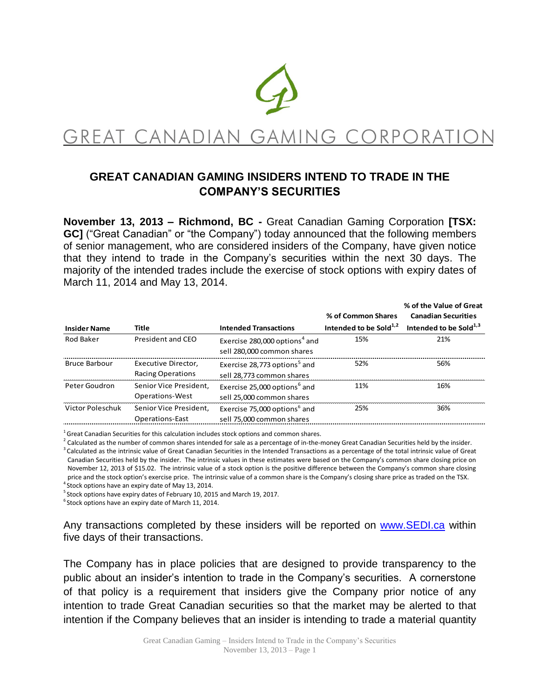

GREAT CANADIAN GAMING CORPORATI

# **GREAT CANADIAN GAMING INSIDERS INTEND TO TRADE IN THE COMPANY'S SECURITIES**

**November 13, 2013 – Richmond, BC -** Great Canadian Gaming Corporation **[TSX: GC]** ("Great Canadian" or "the Company") today announced that the following members of senior management, who are considered insiders of the Company, have given notice that they intend to trade in the Company's securities within the next 30 days. The majority of the intended trades include the exercise of stock options with expiry dates of March 11, 2014 and May 13, 2014.

|                      |                                                  |                                                                         |                                    | % of the Value of Great      |
|----------------------|--------------------------------------------------|-------------------------------------------------------------------------|------------------------------------|------------------------------|
|                      |                                                  |                                                                         | % of Common Shares                 | <b>Canadian Securities</b>   |
| <b>Insider Name</b>  | <b>Title</b>                                     | <b>Intended Transactions</b>                                            | Intended to be Sold <sup>1,2</sup> | Intended to be Sold $^{1,3}$ |
| Rod Baker            | President and CEO                                | Exercise 280,000 options <sup>4</sup> and<br>sell 280,000 common shares | 15%                                | 21%                          |
| <b>Bruce Barbour</b> | Executive Director,<br><b>Racing Operations</b>  | Exercise 28,773 options <sup>5</sup> and<br>sell 28,773 common shares   | 52%                                | 56%                          |
| Peter Goudron        | Senior Vice President.<br><b>Operations-West</b> | Exercise 25,000 options <sup>6</sup> and<br>sell 25,000 common shares   | 11%                                | 16%                          |
| Victor Poleschuk     | Senior Vice President.<br><b>Operations-East</b> | Exercise 75,000 options <sup>6</sup> and<br>sell 75,000 common shares   | 25%                                | 36%                          |

 $^1$ Great Canadian Securities for this calculation includes stock options and common shares.

 $^2$  Calculated as the number of common shares intended for sale as a percentage of in-the-money Great Canadian Securities held by the insider.  $3$  Calculated as the intrinsic value of Great Canadian Securities in the Intended Transactions as a percentage of the total intrinsic value of Great Canadian Securities held by the insider. The intrinsic values in these estimates were based on the Company's common share closing price on November 12, 2013 of \$15.02. The intrinsic value of a stock option is the positive difference between the Company's common share closing price and the stock option's exercise price. The intrinsic value of a common share is the Company's closing share price as traded on the TSX.

<sup>4</sup> Stock options have an expiry date of May 13, 2014.

 $5$  Stock options have expiry dates of February 10, 2015 and March 19, 2017.

 $^6$ Stock options have an expiry date of March 11, 2014.

Any transactions completed by these insiders will be reported on [www.SEDI.ca](http://www.sedi.ca/) within five days of their transactions.

The Company has in place policies that are designed to provide transparency to the public about an insider's intention to trade in the Company's securities. A cornerstone of that policy is a requirement that insiders give the Company prior notice of any intention to trade Great Canadian securities so that the market may be alerted to that intention if the Company believes that an insider is intending to trade a material quantity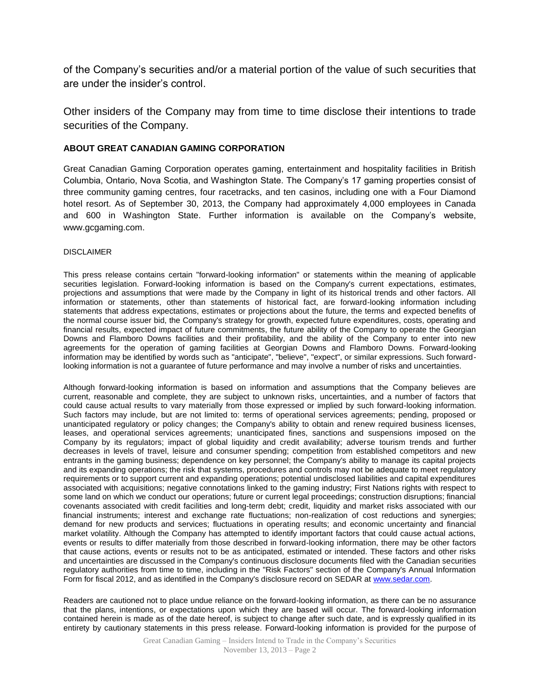of the Company's securities and/or a material portion of the value of such securities that are under the insider's control.

Other insiders of the Company may from time to time disclose their intentions to trade securities of the Company.

### **ABOUT GREAT CANADIAN GAMING CORPORATION**

Great Canadian Gaming Corporation operates gaming, entertainment and hospitality facilities in British Columbia, Ontario, Nova Scotia, and Washington State. The Company's 17 gaming properties consist of three community gaming centres, four racetracks, and ten casinos, including one with a Four Diamond hotel resort. As of September 30, 2013, the Company had approximately 4,000 employees in Canada and 600 in Washington State. Further information is available on the Company's website, www.gcgaming.com.

#### DISCLAIMER

This press release contains certain "forward-looking information" or statements within the meaning of applicable securities legislation. Forward-looking information is based on the Company's current expectations, estimates, projections and assumptions that were made by the Company in light of its historical trends and other factors. All information or statements, other than statements of historical fact, are forward-looking information including statements that address expectations, estimates or projections about the future, the terms and expected benefits of the normal course issuer bid, the Company's strategy for growth, expected future expenditures, costs, operating and financial results, expected impact of future commitments, the future ability of the Company to operate the Georgian Downs and Flamboro Downs facilities and their profitability, and the ability of the Company to enter into new agreements for the operation of gaming facilities at Georgian Downs and Flamboro Downs. Forward-looking information may be identified by words such as "anticipate", "believe", "expect", or similar expressions. Such forwardlooking information is not a guarantee of future performance and may involve a number of risks and uncertainties.

Although forward-looking information is based on information and assumptions that the Company believes are current, reasonable and complete, they are subject to unknown risks, uncertainties, and a number of factors that could cause actual results to vary materially from those expressed or implied by such forward-looking information. Such factors may include, but are not limited to: terms of operational services agreements; pending, proposed or unanticipated regulatory or policy changes; the Company's ability to obtain and renew required business licenses, leases, and operational services agreements; unanticipated fines, sanctions and suspensions imposed on the Company by its regulators; impact of global liquidity and credit availability; adverse tourism trends and further decreases in levels of travel, leisure and consumer spending; competition from established competitors and new entrants in the gaming business; dependence on key personnel; the Company's ability to manage its capital projects and its expanding operations; the risk that systems, procedures and controls may not be adequate to meet regulatory requirements or to support current and expanding operations; potential undisclosed liabilities and capital expenditures associated with acquisitions; negative connotations linked to the gaming industry; First Nations rights with respect to some land on which we conduct our operations; future or current legal proceedings; construction disruptions; financial covenants associated with credit facilities and long-term debt; credit, liquidity and market risks associated with our financial instruments; interest and exchange rate fluctuations; non-realization of cost reductions and synergies; demand for new products and services; fluctuations in operating results; and economic uncertainty and financial market volatility. Although the Company has attempted to identify important factors that could cause actual actions, events or results to differ materially from those described in forward-looking information, there may be other factors that cause actions, events or results not to be as anticipated, estimated or intended. These factors and other risks and uncertainties are discussed in the Company's continuous disclosure documents filed with the Canadian securities regulatory authorities from time to time, including in the "Risk Factors" section of the Company's Annual Information Form for fiscal 2012, and as identified in the Company's disclosure record on SEDAR at [www.sedar.com.](http://www.sedar.com/)

Readers are cautioned not to place undue reliance on the forward-looking information, as there can be no assurance that the plans, intentions, or expectations upon which they are based will occur. The forward-looking information contained herein is made as of the date hereof, is subject to change after such date, and is expressly qualified in its entirety by cautionary statements in this press release. Forward-looking information is provided for the purpose of